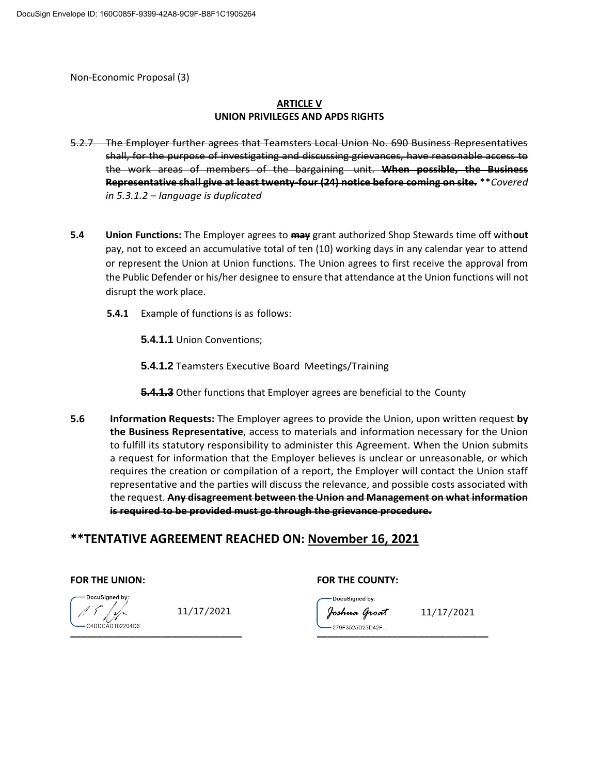Non-Economic Proposal (3)

### **ARTICLE V UNION PRIVILEGES AND APDS RIGHTS**

- 5.2.7 The Employer further agrees that Teamsters Local Union No. 690 Business Representatives shall, for the purpose of investigating and discussing grievances, have reasonable access to the work areas of members of the bargaining unit. **When possible, the Business Representative shall give at least twenty-four (24) notice before coming on site.** \*\**Covered in 5.3.1.2 – language is duplicated*
- **5.4 Union Functions:** The Employer agrees to **may** grant authorized Shop Stewards time off with**out** pay, not to exceed an accumulative total of ten (10) working days in any calendar year to attend or represent the Union at Union functions. The Union agrees to first receive the approval from the Public Defender or his/her designee to ensure that attendance at the Union functions will not disrupt the work place.
	- **5.4.1** Example of functions is as follows:

**5.4.1.1** Union Conventions;

- **5.4.1.2** Teamsters Executive Board Meetings/Training
- **5.4.1.3** Other functions that Employer agrees are beneficial to the County
- **5.6 Information Requests:** The Employer agrees to provide the Union, upon written request **by the Business Representative**, access to materials and information necessary for the Union to fulfill its statutory responsibility to administer this Agreement. When the Union submits a request for information that the Employer believes is unclear or unreasonable, or which requires the creation or compilation of a report, the Employer will contact the Union staff representative and the parties will discuss the relevance, and possible costs associated with the request. **Any disagreement between the Union and Management on what information is required to be provided must go through the grievance procedure.**

# **\*\*TENTATIVE AGREEMENT REACHED ON: November 16, 2021**

### FOR THE UNION: **FOR THE COUNTY:**

 $\mathbb{Z}$ **\_\_\_\_\_\_\_\_\_\_\_\_\_\_\_\_\_\_\_\_\_\_\_\_\_\_\_\_\_\_\_\_ \_\_\_\_\_\_\_\_\_\_\_\_\_\_\_\_\_\_\_\_\_\_\_\_\_\_\_\_\_\_\_\_**

DocuSigned by:  $11/17/2021$   $\qquad \qquad \qquad$  foshna Groat  $11/17/2021$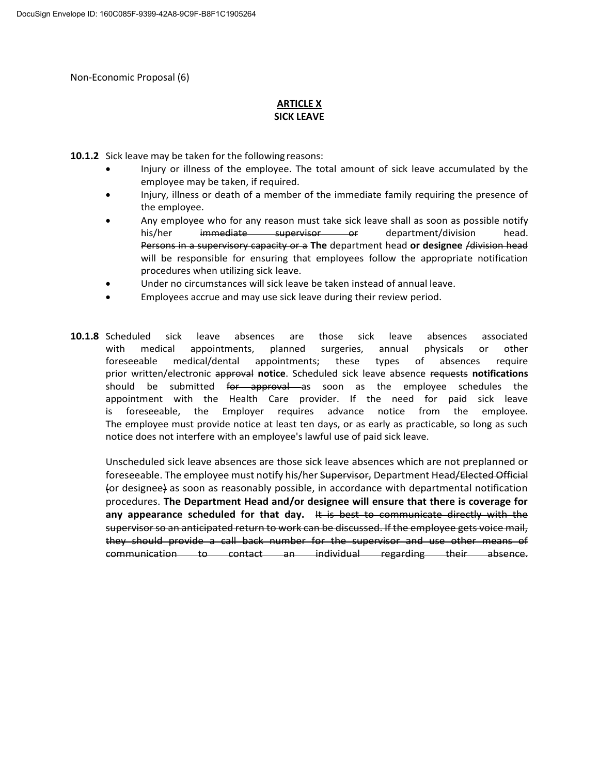Non-Economic Proposal (6)

### **ARTICLE X SICK LEAVE**

**10.1.2** Sick leave may be taken for the following reasons:

- Injury or illness of the employee. The total amount of sick leave accumulated by the employee may be taken, if required.
- Injury, illness or death of a member of the immediate family requiring the presence of the employee.
- Any employee who for any reason must take sick leave shall as soon as possible notify his/her immediate supervisor or department/division head. Persons in a supervisory capacity or a **The** department head **or designee** /division head will be responsible for ensuring that employees follow the appropriate notification procedures when utilizing sick leave.
- Under no circumstances will sick leave be taken instead of annual leave.
- Employees accrue and may use sick leave during their review period.
- **10.1.8** Scheduled sick leave absences are those sick leave absences associated with medical appointments, planned surgeries, annual physicals or other foreseeable medical/dental appointments; these types of absences require prior written/electronic approval **notice**. Scheduled sick leave absence requests **notifications** should be submitted for approval as soon as the employee schedules the appointment with the Health Care provider. If the need for paid sick leave is foreseeable, the Employer requires advance notice from the employee. The employee must provide notice at least ten days, or as early as practicable, so long as such notice does not interfere with an employee's lawful use of paid sick leave.

Unscheduled sick leave absences are those sick leave absences which are not preplanned or foreseeable. The employee must notify his/her Supervisor, Department Head/Elected Official (or designee) as soon as reasonably possible, in accordance with departmental notification procedures. **The Department Head and/or designee will ensure that there is coverage for any appearance scheduled for that day.** It is best to communicate directly with the supervisor so an anticipated return to work can be discussed. If the employee gets voice mail, they should provide a call back number for the supervisor and use other means of communication to contact an individual regarding their absence.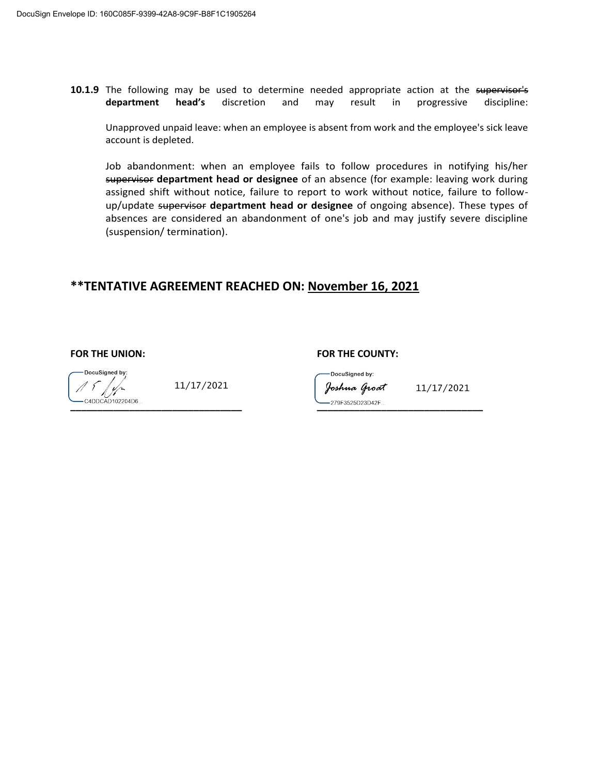**10.1.9** The following may be used to determine needed appropriate action at the supervisor's **department head's** discretion and may result in progressive discipline:

Unapproved unpaid leave: when an employee is absent from work and the employee's sick leave account is depleted.

Job abandonment: when an employee fails to follow procedures in notifying his/her supervisor **department head or designee** of an absence (for example: leaving work during assigned shift without notice, failure to report to work without notice, failure to followup/update supervisor **department head or designee** of ongoing absence). These types of absences are considered an abandonment of one's job and may justify severe discipline (suspension/ termination).

# **\*\*TENTATIVE AGREEMENT REACHED ON: November 16, 2021**

**FOR THE UNION: FOR THE COUNTY:**

DocuSigned by: H **\_\_\_\_\_\_\_\_\_\_\_\_\_\_\_\_\_\_\_\_\_\_\_\_\_\_\_\_\_\_\_\_ \_\_\_\_\_\_\_\_\_\_\_\_\_\_\_\_\_\_\_\_\_\_\_\_\_\_\_\_\_\_\_**

DocuSigned by:  $11/17/2021$   $% \sim \sim \sim 11/17/2021$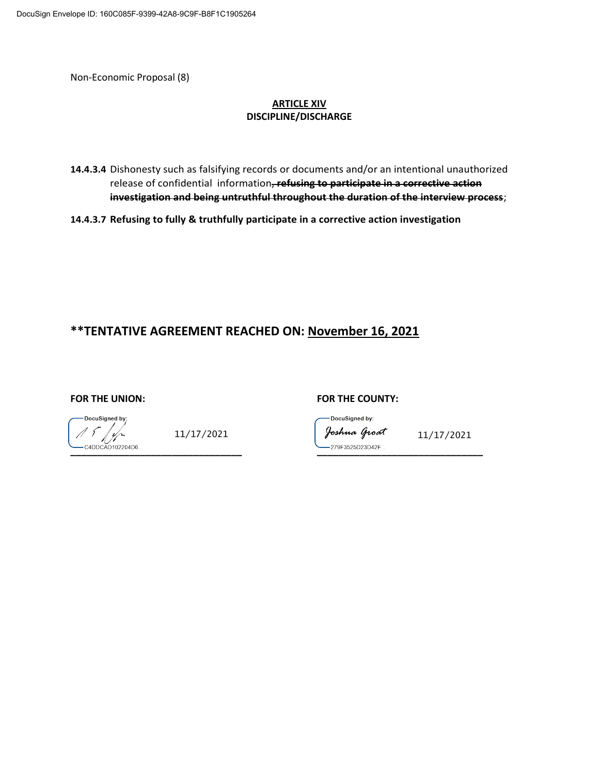Non-Economic Proposal (8)

### **ARTICLE XIV DISCIPLINE/DISCHARGE**

**14.4.3.4** Dishonesty such as falsifying records or documents and/or an intentional unauthorized release of confidential information, **refusing to participate in a corrective action investigation and being untruthful throughout the duration of the interview process**;

**14.4.3.7 Refusing to fully & truthfully participate in a corrective action investigation**

# **\*\*TENTATIVE AGREEMENT REACHED ON: November 16, 2021**

DocuSigned by:  $\frac{1}{2}$ 

FOR THE UNION: **FOR THE COUNTY:** 

DocuSigned by:  $11/17/2021$  foshna Groat  $11/17/2021$ 

**\_\_\_\_\_\_\_\_\_\_\_\_\_\_\_\_\_\_\_\_\_\_\_\_\_\_\_\_\_\_\_\_ \_\_\_\_\_\_\_\_\_\_\_\_\_\_\_\_\_\_\_\_\_\_\_\_\_\_\_\_\_\_\_**